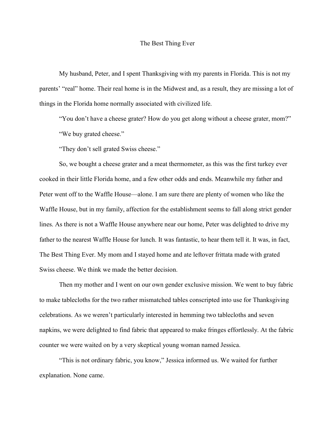## The Best Thing Ever

My husband, Peter, and I spent Thanksgiving with my parents in Florida. This is not my parents' "real" home. Their real home is in the Midwest and, as a result, they are missing a lot of things in the Florida home normally associated with civilized life.

"You don't have a cheese grater? How do you get along without a cheese grater, mom?" "We buy grated cheese."

"They don't sell grated Swiss cheese."

So, we bought a cheese grater and a meat thermometer, as this was the first turkey ever cooked in their little Florida home, and a few other odds and ends. Meanwhile my father and Peter went off to the Waffle House—alone. I am sure there are plenty of women who like the Waffle House, but in my family, affection for the establishment seems to fall along strict gender lines. As there is not a Waffle House anywhere near our home, Peter was delighted to drive my father to the nearest Waffle House for lunch. It was fantastic, to hear them tell it. It was, in fact, The Best Thing Ever. My mom and I stayed home and ate leftover frittata made with grated Swiss cheese. We think we made the better decision.

Then my mother and I went on our own gender exclusive mission. We went to buy fabric to make tablecloths for the two rather mismatched tables conscripted into use for Thanksgiving celebrations. As we weren't particularly interested in hemming two tablecloths and seven napkins, we were delighted to find fabric that appeared to make fringes effortlessly. At the fabric counter we were waited on by a very skeptical young woman named Jessica.

"This is not ordinary fabric, you know," Jessica informed us. We waited for further explanation. None came.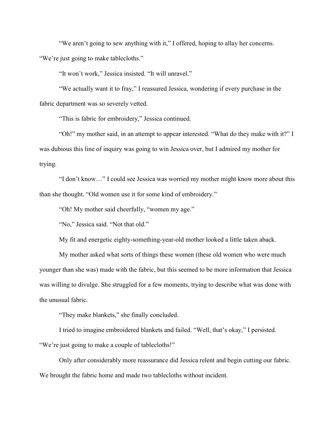"We aren't going to sew anything with it," I offered, hoping to allay her concerns. "We're just going to make tablecloths."

"It won't work," Jessica insisted. "It will unravel."

"We actually want it to fray," I reassured Jessica, wondering if every purchase in the fabric department was so severely vetted.

"This is fabric for embroidery," Jessica continued.

"Oh!" my mother said, in an attempt to appear interested. "What do they make with it?" I was dubious this line of inquiry was going to win Jessica over, but I admired my mother for trying.

"I don't know…" I could see Jessica was worried my mother might know more about this than she thought. "Old women use it for some kind of embroidery."

"Oh! My mother said cheerfully, "women my age."

"No," Jessica said. "Not that old."

My fit and energetic eighty-something-year-old mother looked a little taken aback.

My mother asked what sorts of things these women (these old women who were much younger than she was) made with the fabric, but this seemed to be more information that Jessica was willing to divulge. She struggled for a few moments, trying to describe what was done with the unusual fabric.

"They make blankets," she finally concluded.

I tried to imagine embroidered blankets and failed. "Well, that's okay," I persisted. "We're just going to make a couple of tablecloths!"

Only after considerably more reassurance did Jessica relent and begin cutting our fabric. We brought the fabric home and made two tablecloths without incident.